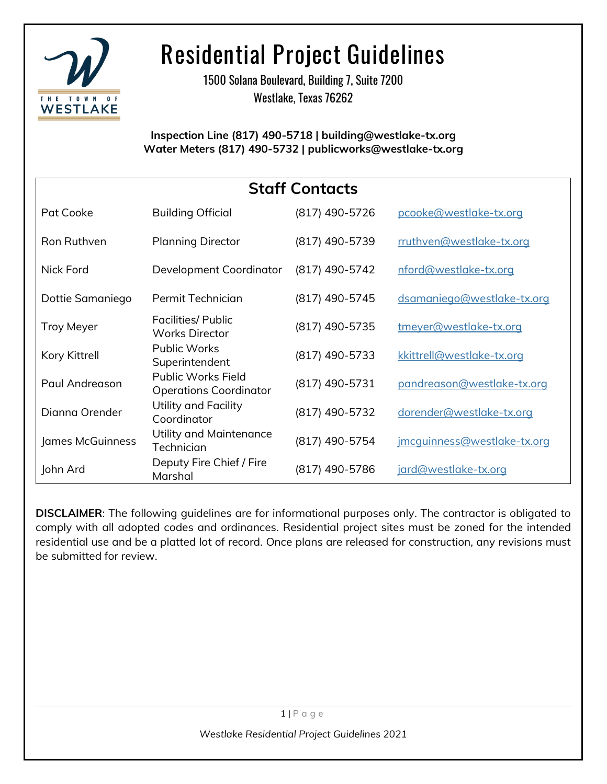

1500 Solana Boulevard, Building 7, Suite 7200 Westlake, Texas 76262

**Inspection Line (817) 490-5718 | building@westlake-tx.org Water Meters (817) 490-5732 | publicworks@westlake-tx.org**

| <b>Staff Contacts</b> |                                                            |                |                                    |
|-----------------------|------------------------------------------------------------|----------------|------------------------------------|
| Pat Cooke             | <b>Building Official</b>                                   | (817) 490-5726 | pcooke@westlake-tx.org             |
| Ron Ruthven           | <b>Planning Director</b>                                   | (817) 490-5739 | rruthven@westlake-tx.org           |
| <b>Nick Ford</b>      | Development Coordinator                                    | (817) 490-5742 | nford@westlake-tx.org              |
| Dottie Samaniego      | Permit Technician                                          | (817) 490-5745 | dsamaniego@westlake-tx.org         |
| <b>Troy Meyer</b>     | <b>Facilities/ Public</b><br><b>Works Director</b>         | (817) 490-5735 | tmeyer@westlake-tx.org             |
| Kory Kittrell         | <b>Public Works</b><br>Superintendent                      | (817) 490-5733 | kkittrell@westlake-tx.org          |
| Paul Andreason        | <b>Public Works Field</b><br><b>Operations Coordinator</b> | (817) 490-5731 | pandreason@westlake-tx.org         |
| Dignna Orender        | Utility and Facility<br>Coordinator                        | (817) 490-5732 | dorender@westlake-tx.org           |
| James McGuinness      | Utility and Maintenance<br>Technician                      | (817) 490-5754 | <u>imcquinness@westlake-tx.org</u> |
| John Ard              | Deputy Fire Chief / Fire<br>Marshal                        | (817) 490-5786 | jard@westlake-tx.org               |

**DISCLAIMER**: The following guidelines are for informational purposes only. The contractor is obligated to comply with all adopted codes and ordinances. Residential project sites must be zoned for the intended residential use and be a platted lot of record. Once plans are released for construction, any revisions must be submitted for review.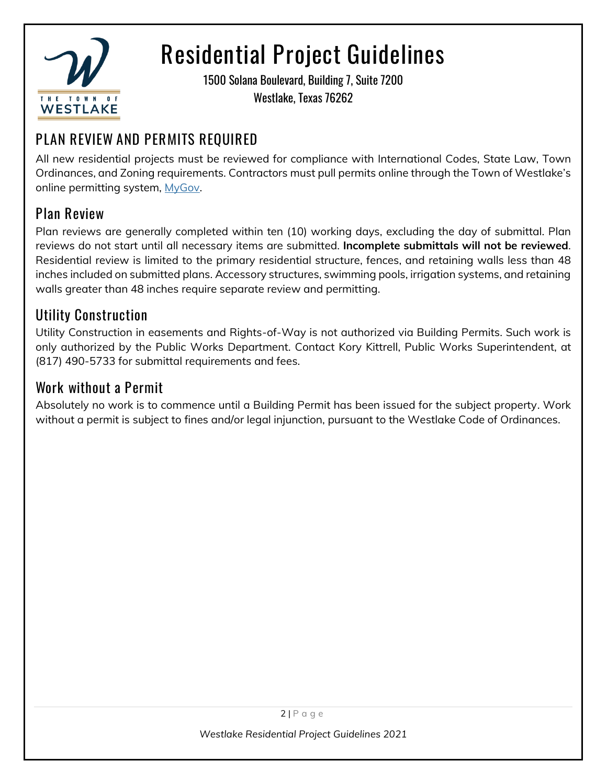

1500 Solana Boulevard, Building 7, Suite 7200 Westlake, Texas 76262

### **PLAN REVIEW AND PERMITS REQUIRED**

All new residential projects must be reviewed for compliance with International Codes, State Law, Town Ordinances, and Zoning requirements. Contractors must pull permits online through the Town of Westlake's online permitting system, [MyGov.](https://public.mygov.us/westlake_tx)

#### **Plan Review**

Plan reviews are generally completed within ten (10) working days, excluding the day of submittal. Plan reviews do not start until all necessary items are submitted. **Incomplete submittals will not be reviewed**. Residential review is limited to the primary residential structure, fences, and retaining walls less than 48 inches included on submitted plans. Accessory structures, swimming pools, irrigation systems, and retaining walls greater than 48 inches require separate review and permitting.

#### **Utility Construction**

Utility Construction in easements and Rights-of-Way is not authorized via Building Permits. Such work is only authorized by the Public Works Department. Contact Kory Kittrell, Public Works Superintendent, at (817) 490-5733 for submittal requirements and fees.

#### **Work without a Permit**

Absolutely no work is to commence until a Building Permit has been issued for the subject property. Work without a permit is subject to fines and/or legal injunction, pursuant to the Westlake Code of Ordinances.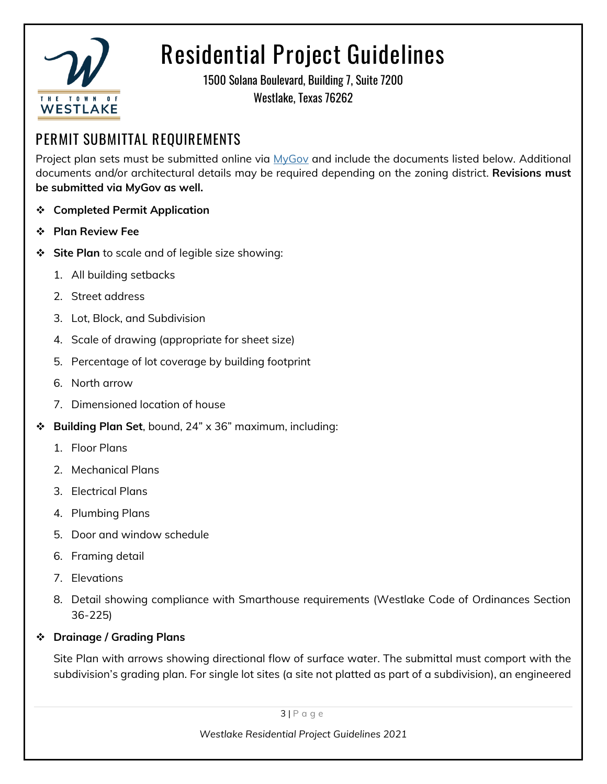

1500 Solana Boulevard, Building 7, Suite 7200 Westlake, Texas 76262

#### **PERMIT SUBMITTAL REQUIREMENTS**

Project plan sets must be submitted online via [MyGov](https://public.mygov.us/westlake_tx) and include the documents listed below. Additional documents and/or architectural details may be required depending on the zoning district. **Revisions must be submitted via MyGov as well.**

- ❖ **Completed Permit Application**
- ❖ **Plan Review Fee**
- **Site Plan** to scale and of legible size showing:
	- 1. All building setbacks
	- 2. Street address
	- 3. Lot, Block, and Subdivision
	- 4. Scale of drawing (appropriate for sheet size)
	- 5. Percentage of lot coverage by building footprint
	- 6. North arrow
	- 7. Dimensioned location of house
- ❖ **Building Plan Set**, bound, 24" x 36" maximum, including:
	- 1. Floor Plans
	- 2. Mechanical Plans
	- 3. Electrical Plans
	- 4. Plumbing Plans
	- 5. Door and window schedule
	- 6. Framing detail
	- 7. Elevations
	- 8. Detail showing compliance with Smarthouse requirements (Westlake Code of Ordinances Section 36-225)
- ❖ **Drainage / Grading Plans**

Site Plan with arrows showing directional flow of surface water. The submittal must comport with the subdivision's grading plan. For single lot sites (a site not platted as part of a subdivision), an engineered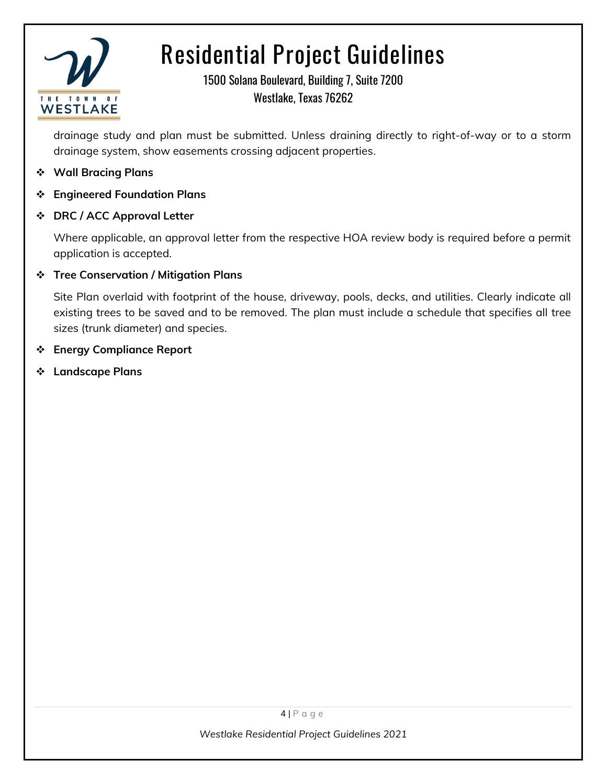

1500 Solana Boulevard, Building 7, Suite 7200 Westlake, Texas 76262

drainage study and plan must be submitted. Unless draining directly to right-of-way or to a storm drainage system, show easements crossing adjacent properties.

- ❖ **Wall Bracing Plans**
- ❖ **Engineered Foundation Plans**
- ❖ **DRC / ACC Approval Letter**

Where applicable, an approval letter from the respective HOA review body is required before a permit application is accepted.

#### ❖ **Tree Conservation / Mitigation Plans**

Site Plan overlaid with footprint of the house, driveway, pools, decks, and utilities. Clearly indicate all existing trees to be saved and to be removed. The plan must include a schedule that specifies all tree sizes (trunk diameter) and species.

- ❖ **Energy Compliance Report**
- ❖ **Landscape Plans**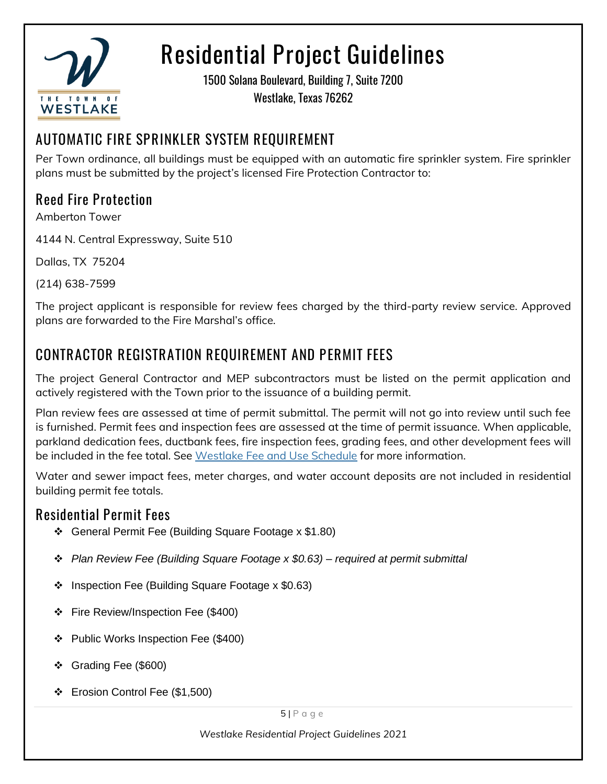

1500 Solana Boulevard, Building 7, Suite 7200 Westlake, Texas 76262

### **AUTOMATIC FIRE SPRINKLER SYSTEM REQUIREMENT**

Per Town ordinance, all buildings must be equipped with an automatic fire sprinkler system. Fire sprinkler plans must be submitted by the project's licensed Fire Protection Contractor to:

#### **Reed Fire Protection**

Amberton Tower

4144 N. Central Expressway, Suite 510

Dallas, TX 75204

(214) 638-7599

The project applicant is responsible for review fees charged by the third-party review service. Approved plans are forwarded to the Fire Marshal's office.

### **CONTRACTOR REGISTRATION REQUIREMENT AND PERMIT FEES**

The project General Contractor and MEP subcontractors must be listed on the permit application and actively registered with the Town prior to the issuance of a building permit.

Plan review fees are assessed at time of permit submittal. The permit will not go into review until such fee is furnished. Permit fees and inspection fees are assessed at the time of permit issuance. When applicable, parkland dedication fees, ductbank fees, fire inspection fees, grading fees, and other development fees will be included in the fee total. See [Westlake Fee and Use Schedule](https://westlake-tx.org/DocumentCenter/View/4011) for more information.

Water and sewer impact fees, meter charges, and water account deposits are not included in residential building permit fee totals.

#### **Residential Permit Fees**

- ❖ General Permit Fee (Building Square Footage x \$1.80)
- ❖ *Plan Review Fee (Building Square Footage x \$0.63) – required at permit submittal*
- ❖ Inspection Fee (Building Square Footage x \$0.63)
- ❖ Fire Review/Inspection Fee (\$400)
- ❖ Public Works Inspection Fee (\$400)
- ❖ Grading Fee (\$600)
- ❖ Erosion Control Fee (\$1,500)

 $5$ | P a g e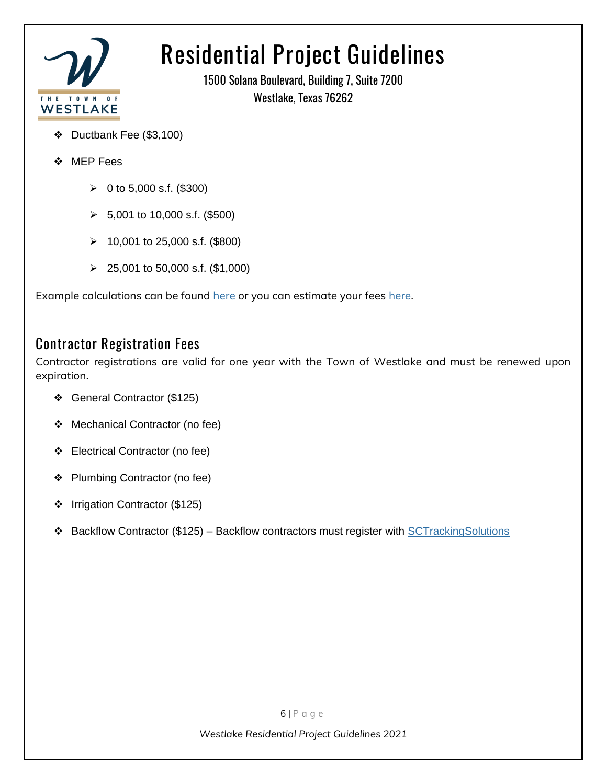

1500 Solana Boulevard, Building 7, Suite 7200 Westlake, Texas 76262

- ❖ Ductbank Fee (\$3,100)
- ❖ MEP Fees
	- $\geq 0$  to 5,000 s.f. (\$300)
	- $\geq$  5,001 to 10,000 s.f. (\$500)
	- ➢ 10,001 to 25,000 s.f. (\$800)
	- ➢ 25,001 to 50,000 s.f. (\$1,000)

Example calculations can be found [here](https://westlake-tx.org/DocumentCenter/View/3132/2018-Fee-Calculations) or you can estimate your fees [here.](https://public.mygov.us/westlake_tx/estimate?module=pi)

#### **Contractor Registration Fees**

Contractor registrations are valid for one year with the Town of Westlake and must be renewed upon expiration.

- ❖ General Contractor (\$125)
- ❖ Mechanical Contractor (no fee)
- ❖ Electrical Contractor (no fee)
- ❖ Plumbing Contractor (no fee)
- ❖ Irrigation Contractor (\$125)
- ❖ Backflow Contractor (\$125) Backflow contractors must register with [SCTrackingSolutions](https://www.sctrackingsolutions.com/city/system/login.asp)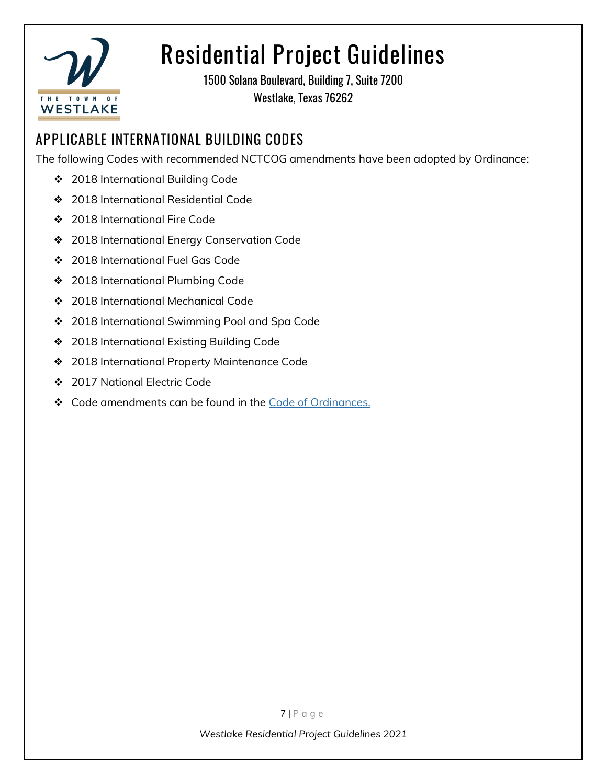

1500 Solana Boulevard, Building 7, Suite 7200 Westlake, Texas 76262

### **APPLICABLE INTERNATIONAL BUILDING CODES**

The following Codes with recommended NCTCOG amendments have been adopted by Ordinance:

- ❖ 2018 International Building Code
- ❖ 2018 International Residential Code
- ❖ 2018 International Fire Code
- ❖ 2018 International Energy Conservation Code
- ❖ 2018 International Fuel Gas Code
- ❖ 2018 International Plumbing Code
- ❖ 2018 International Mechanical Code
- ❖ 2018 International Swimming Pool and Spa Code
- ❖ 2018 International Existing Building Code
- ❖ 2018 International Property Maintenance Code
- ❖ 2017 National Electric Code
- ❖ Code amendments can be found in the Code [of Ordinances.](https://library.municode.com/tx/westlake/codes/code_of_ordinances?nodeId=COOR_CH18BUBURE)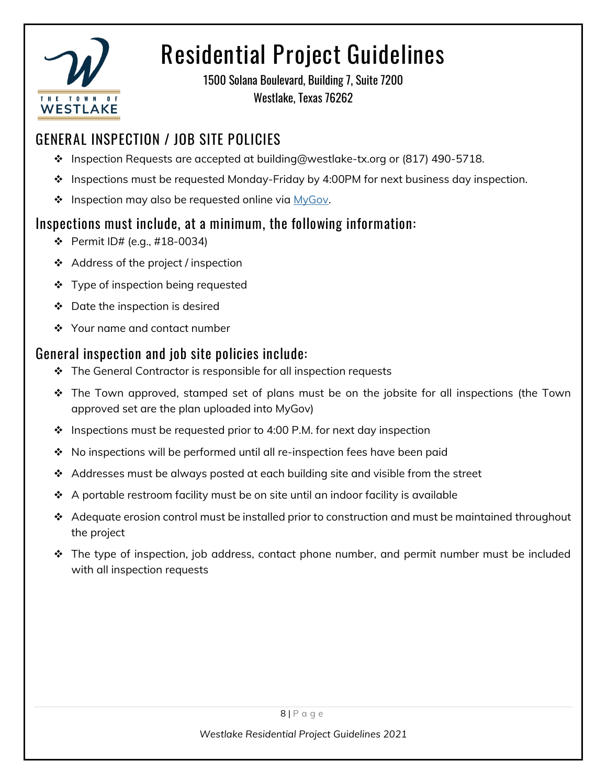

1500 Solana Boulevard, Building 7, Suite 7200 Westlake, Texas 76262

### **GENERAL INSPECTION / JOB SITE POLICIES**

- ❖ Inspection Requests are accepted at building@westlake-tx.org or (817) 490-5718.
- ❖ Inspections must be requested Monday-Friday by 4:00PM for next business day inspection.
- ❖ Inspection may also be requested online via [MyGov.](https://public.mygov.us/westlake_tx)

#### **Inspections must include, at a minimum, the following information:**

- ❖ Permit ID# (e.g., #18-0034)
- ❖ Address of the project / inspection
- ❖ Type of inspection being requested
- ❖ Date the inspection is desired
- ❖ Your name and contact number

#### **General inspection and job site policies include:**

- ❖ The General Contractor is responsible for all inspection requests
- ❖ The Town approved, stamped set of plans must be on the jobsite for all inspections (the Town approved set are the plan uploaded into MyGov)
- $\div$  Inspections must be requested prior to 4:00 P.M. for next day inspection
- ❖ No inspections will be performed until all re-inspection fees have been paid
- ❖ Addresses must be always posted at each building site and visible from the street
- ❖ A portable restroom facility must be on site until an indoor facility is available
- ❖ Adequate erosion control must be installed prior to construction and must be maintained throughout the project
- ❖ The type of inspection, job address, contact phone number, and permit number must be included with all inspection requests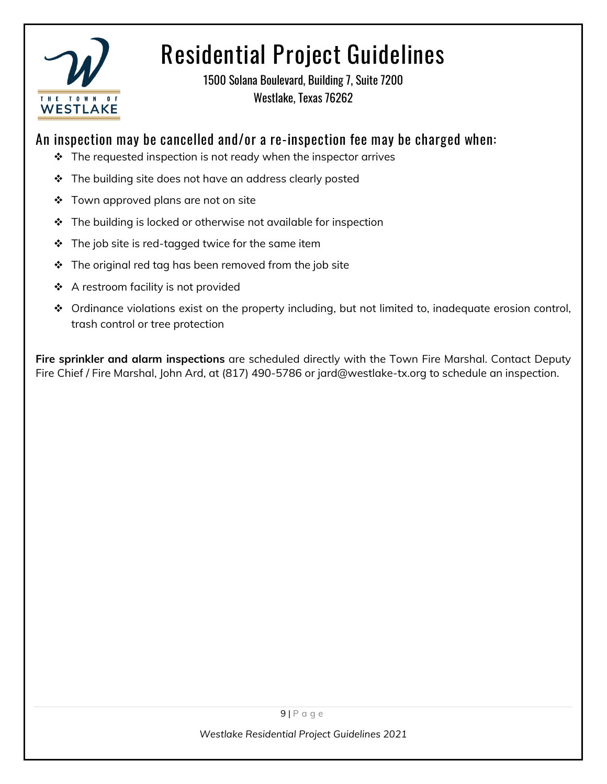

1500 Solana Boulevard, Building 7, Suite 7200 Westlake, Texas 76262

#### **An inspection may be cancelled and/or a re-inspection fee may be charged when:**

- ❖ The requested inspection is not ready when the inspector arrives
- ❖ The building site does not have an address clearly posted
- ❖ Town approved plans are not on site
- ❖ The building is locked or otherwise not available for inspection
- $\div$  The job site is red-tagged twice for the same item
- $\div$  The original red tag has been removed from the job site
- ❖ A restroom facility is not provided
- ❖ Ordinance violations exist on the property including, but not limited to, inadequate erosion control, trash control or tree protection

**Fire sprinkler and alarm inspections** are scheduled directly with the Town Fire Marshal. Contact Deputy Fire Chief / Fire Marshal, John Ard, at (817) 490-5786 or jard@westlake-tx.org to schedule an inspection.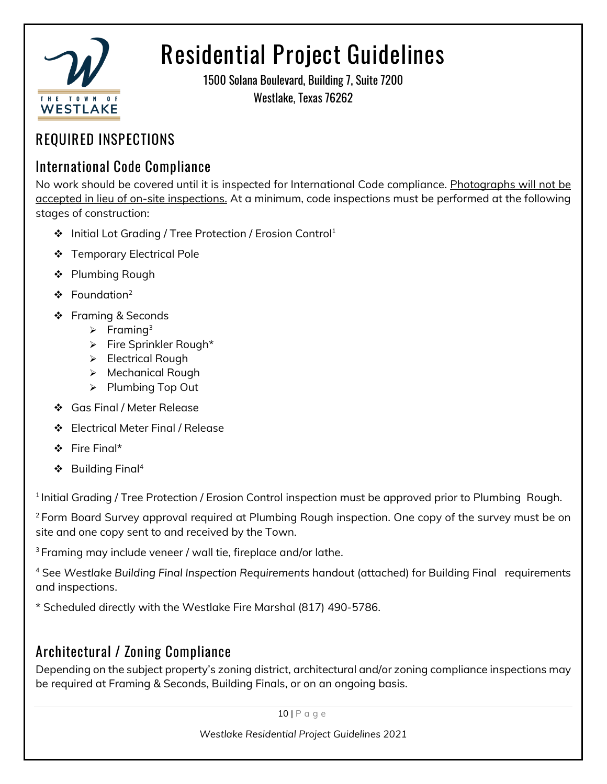

1500 Solana Boulevard, Building 7, Suite 7200 Westlake, Texas 76262

#### **REQUIRED INSPECTIONS**

#### **International Code Compliance**

No work should be covered until it is inspected for International Code compliance. Photographs will not be accepted in lieu of on-site inspections. At a minimum, code inspections must be performed at the following stages of construction:

- ❖ Initial Lot Grading / Tree Protection / Erosion Control<sup>1</sup>
- ❖ Temporary Electrical Pole
- ❖ Plumbing Rough
- ❖ Foundation<sup>2</sup>
- ❖ Framing & Seconds
	- $\triangleright$  Framing<sup>3</sup>
	- ➢ Fire Sprinkler Rough\*
	- ➢ Electrical Rough
	- ➢ Mechanical Rough
	- ➢ Plumbing Top Out
- ❖ Gas Final / Meter Release
- ❖ Electrical Meter Final / Release
- ❖ Fire Final\*
- ❖ Building Final<sup>4</sup>

 $1$ Initial Grading / Tree Protection / Erosion Control inspection must be approved prior to Plumbing Rough.

<sup>2</sup> Form Board Survey approval required at Plumbing Rough inspection. One copy of the survey must be on site and one copy sent to and received by the Town.

<sup>3</sup>Framing may include veneer / wall tie, fireplace and/or lathe.

<sup>4</sup> See *Westlake Building Final Inspection Requirements* handout (attached) for Building Final requirements and inspections.

\* Scheduled directly with the Westlake Fire Marshal (817) 490-5786.

#### **Architectural / Zoning Compliance**

Depending on the subject property's zoning district, architectural and/or zoning compliance inspections may be required at Framing & Seconds, Building Finals, or on an ongoing basis.

10 | P a g e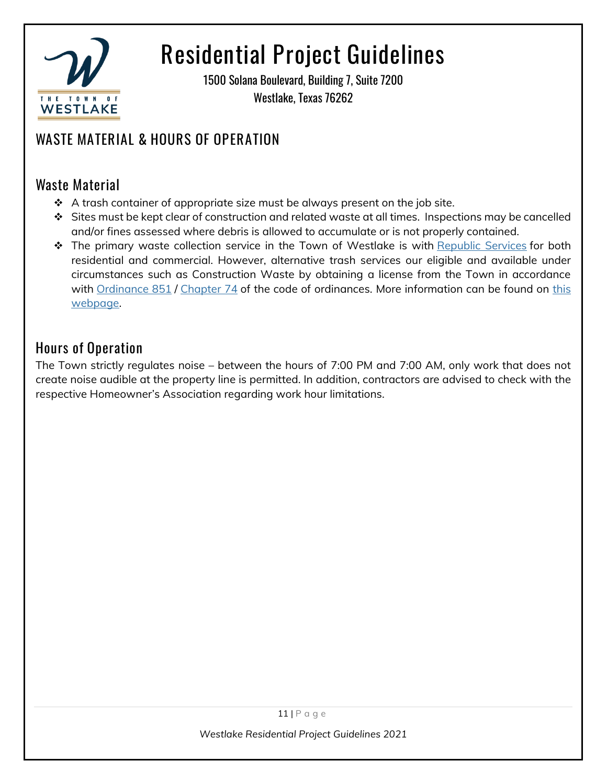

1500 Solana Boulevard, Building 7, Suite 7200 Westlake, Texas 76262

### **WASTE MATERIAL & HOURS OF OPERATION**

#### **Waste Material**

- $\div$  A trash container of appropriate size must be always present on the job site.
- ❖ Sites must be kept clear of construction and related waste at all times. Inspections may be cancelled and/or fines assessed where debris is allowed to accumulate or is not properly contained.
- ❖ The primary waste collection service in the Town of Westlake is with [Republic Services](https://www.republicservices.com/residents) for both residential and commercial. However, alternative trash services our eligible and available under circumstances such as Construction Waste by obtaining a license from the Town in accordance with [Ordinance 851](https://weblink.westlake-tx.org/WebLink/DocView.aspx?id=368078&dbid=0&repo=WESTLAKE) / [Chapter 74](https://library.municode.com/tx/westlake/codes/code_of_ordinances?nodeId=COOR_CH74SOWA) of the code of ordinances. More information can be found on this [webpage.](https://www.westlake-tx.org/631/Construction-Waste-Licensing)

#### **Hours of Operation**

The Town strictly regulates noise – between the hours of 7:00 PM and 7:00 AM, only work that does not create noise audible at the property line is permitted. In addition, contractors are advised to check with the respective Homeowner's Association regarding work hour limitations.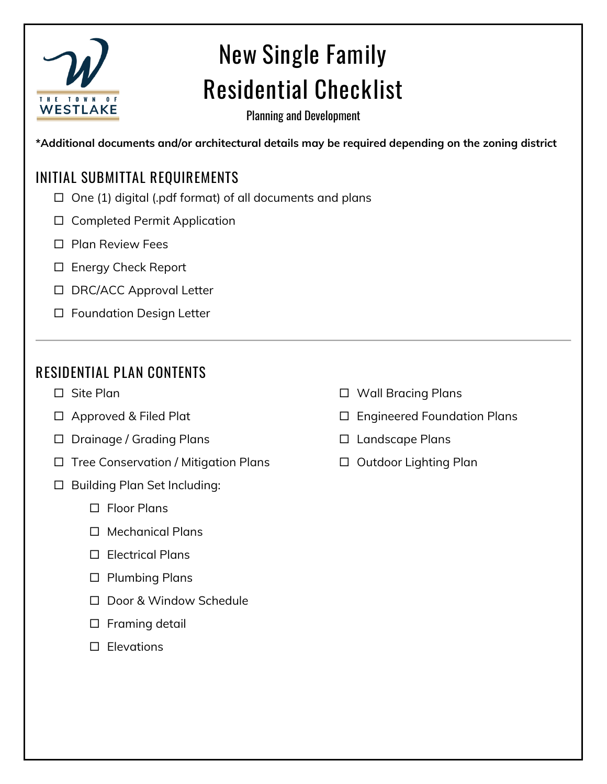

# **New Single Family Residential Checklist**

Planning and Development

**\*Additional documents and/or architectural details may be required depending on the zoning district**

#### **INITIAL SUBMITTAL REQUIREMENTS**

- $\Box$  One (1) digital (.pdf format) of all documents and plans
- □ Completed Permit Application
- □ Plan Review Fees
- □ Energy Check Report
- □ DRC/ACC Approval Letter
- □ Foundation Design Letter

#### **RESIDENTIAL PLAN CONTENTS**

- □ Site Plan
- □ Approved & Filed Plat
- □ Drainage / Grading Plans
- $\Box$  Tree Conservation / Mitigation Plans
- □ Building Plan Set Including:
	- Floor Plans
	- □ Mechanical Plans
	- □ Electrical Plans
	- □ Plumbing Plans
	- □ Door & Window Schedule
	- $\square$  Framing detail
	- $\square$  Elevations
- □ Wall Bracing Plans
- □ Engineered Foundation Plans
- □ Landscape Plans
- □ Outdoor Lighting Plan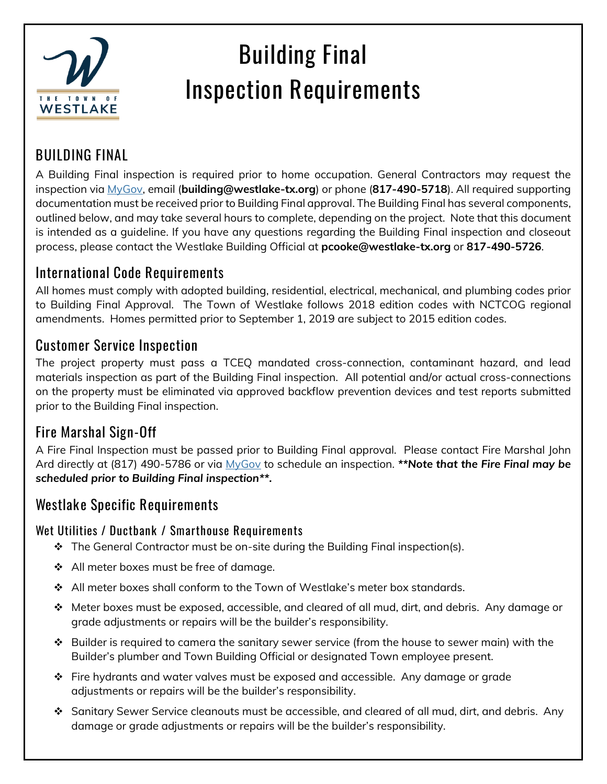

#### **BUILDING FINAL**

A Building Final inspection is required prior to home occupation. General Contractors may request the inspection via [MyGov,](https://public.mygov.us/westlake_tx) email (**building@westlake-tx.org**) or phone (**817-490-5718**). All required supporting documentation must be received prior to Building Final approval. The Building Final has several components, outlined below, and may take several hours to complete, depending on the project. Note that this document is intended as a guideline. If you have any questions regarding the Building Final inspection and closeout process, please contact the Westlake Building Official at **pcooke@westlake-tx.org** or **817-490-5726**.

#### **International Code Requirements**

All homes must comply with adopted building, residential, electrical, mechanical, and plumbing codes prior to Building Final Approval. The Town of Westlake follows 2018 edition codes with NCTCOG regional amendments. Homes permitted prior to September 1, 2019 are subject to 2015 edition codes.

#### **Customer Service Inspection**

The project property must pass a TCEQ mandated cross-connection, contaminant hazard, and lead materials inspection as part of the Building Final inspection. All potential and/or actual cross-connections on the property must be eliminated via approved backflow prevention devices and test reports submitted prior to the Building Final inspection.

#### **Fire Marshal Sign-Off**

A Fire Final Inspection must be passed prior to Building Final approval. Please contact Fire Marshal John Ard directly at (817) 490-5786 or via [MyGov](https://app.mygov.us/task/city/cityhome.php?cityname=773) to schedule an inspection. *\*\*Note that the Fire Final may be scheduled prior to Building Final inspection\*\*.*

#### **Westlake Specific Requirements**

#### **Wet Utilities / Ductbank / Smarthouse Requirements**

- ❖ The General Contractor must be on-site during the Building Final inspection(s).
- ❖ All meter boxes must be free of damage.
- ❖ All meter boxes shall conform to the Town of Westlake's meter box standards.
- $\div$  Meter boxes must be exposed, accessible, and cleared of all mud, dirt, and debris. Any damage or grade adjustments or repairs will be the builder's responsibility.
- ❖ Builder is required to camera the sanitary sewer service (from the house to sewer main) with the Builder's plumber and Town Building Official or designated Town employee present.
- ❖ Fire hydrants and water valves must be exposed and accessible. Any damage or grade adjustments or repairs will be the builder's responsibility.
- ❖ Sanitary Sewer Service cleanouts must be accessible, and cleared of all mud, dirt, and debris. Any damage or grade adjustments or repairs will be the builder's responsibility.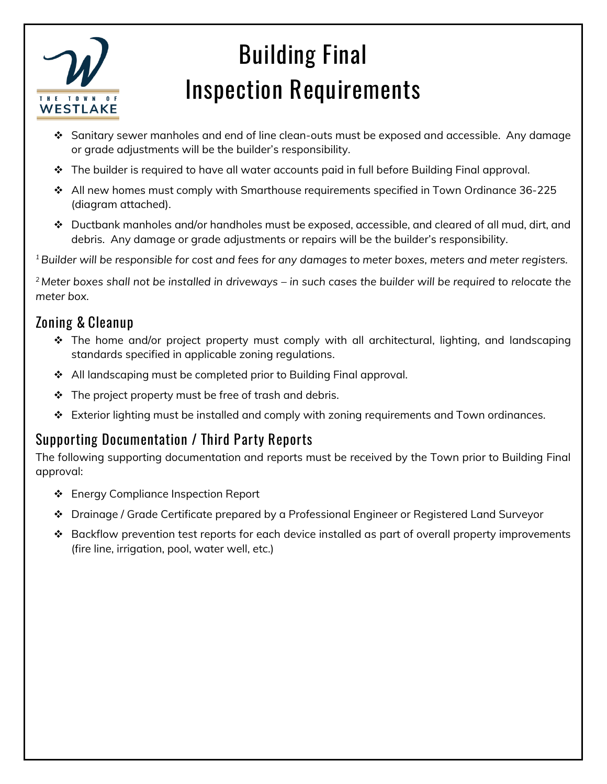

- $\mathbf{\hat{P}}$  Sanitary sewer manholes and end of line clean-outs must be exposed and accessible. Any damage or grade adjustments will be the builder's responsibility.
- ❖ The builder is required to have all water accounts paid in full before Building Final approval.
- ❖ All new homes must comply with Smarthouse requirements specified in Town Ordinance 36-225 (diagram attached).
- ❖ Ductbank manholes and/or handholes must be exposed, accessible, and cleared of all mud, dirt, and debris. Any damage or grade adjustments or repairs will be the builder's responsibility.

*<sup>1</sup>Builder will be responsible for cost and fees for any damages to meter boxes, meters and meter registers.*

*<sup>2</sup> Meter boxes shall not be installed in driveways – in such cases the builder will be required to relocate the meter box.*

#### **Zoning & Cleanup**

- ❖ The home and/or project property must comply with all architectural, lighting, and landscaping standards specified in applicable zoning regulations.
- ❖ All landscaping must be completed prior to Building Final approval.
- $\div$  The project property must be free of trash and debris.
- ❖ Exterior lighting must be installed and comply with zoning requirements and Town ordinances.

#### **Supporting Documentation / Third Party Reports**

The following supporting documentation and reports must be received by the Town prior to Building Final approval:

- ❖ Energy Compliance Inspection Report
- ❖ Drainage / Grade Certificate prepared by a Professional Engineer or Registered Land Surveyor
- ❖ Backflow prevention test reports for each device installed as part of overall property improvements (fire line, irrigation, pool, water well, etc.)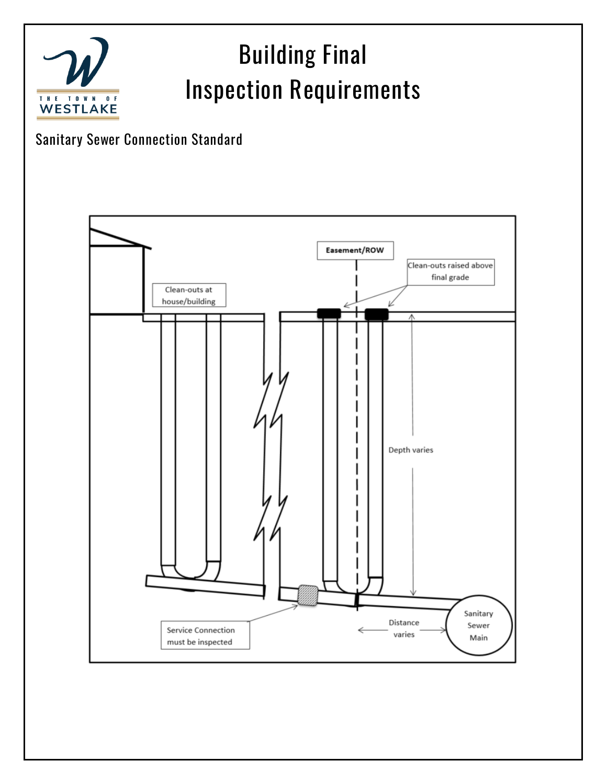#### **Building Final Inspection Requirements** THE TOWN  $0 F$ **WESTLAKE**

#### **Sanitary Sewer Connection Standard**

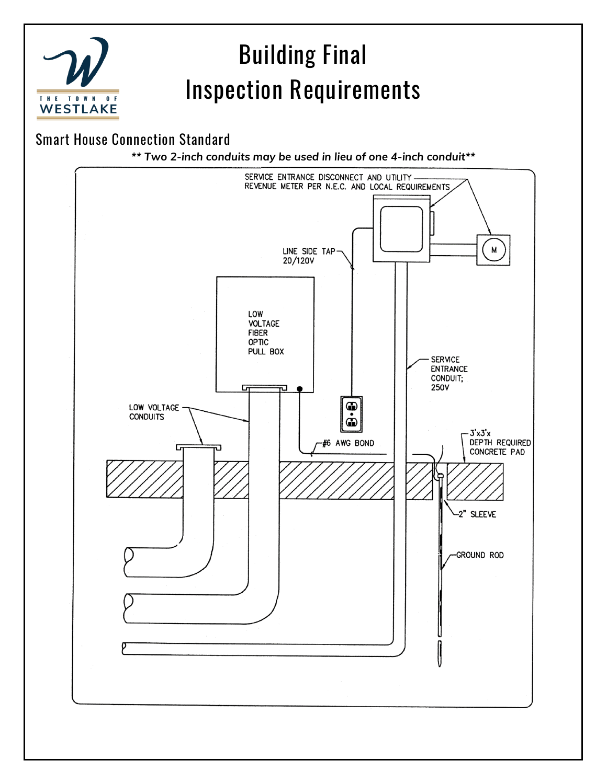

**Smart House Connection Standard**

*\*\* Two 2-inch conduits may be used in lieu of one 4-inch conduit\*\**

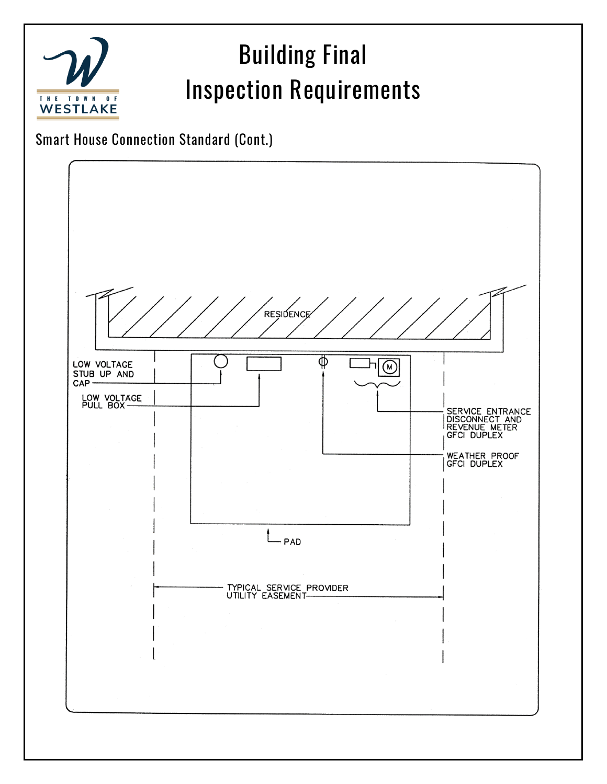

**Smart House Connection Standard (Cont.)**